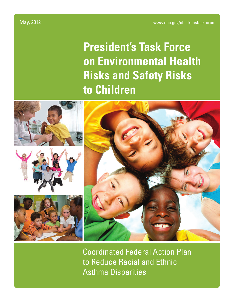**President's Task Force on Environmental Health Risks and Safety Risks to Children**



Coordinated Federal Action Plan to Reduce Racial and Ethnic Asthma Disparities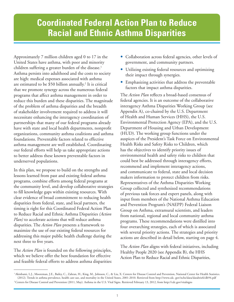# **Coordinated Federal Action Plan to Reduce Racial and Ethnic Asthma Disparities**

Approximately 7 million children aged 0 to 17 in the United States have asthma, with poor and minority children suffering a greater burden of the disease.<sup>1</sup> Asthma persists into adulthood and the costs to society are high: medical expenses associated with asthma are estimated to be \$50 billion annually.<sup>2</sup> It is critical that we promote synergy across the numerous federal programs that affect asthma management in order to reduce this burden and these disparities. The magnitude of the problem of asthma disparities and the breadth of stakeholder involvement required to address it will necessitate enhancing the interagency coordination of partnerships that many of our federal programs already have with state and local health departments, nonprofit organizations, community asthma coalitions and asthma foundations. Preventable factors related to effective asthma management are well established. Coordinating our federal efforts will help us take appropriate actions to better address these known preventable factors in underserved populations.

In this plan, we propose to build on the strengths and lessons learned from past and existing federal asthma programs, combine efforts among federal programs at the community level, and develop collaborative strategies to fill knowledge gaps within existing resources. With clear evidence of broad commitment to reducing health disparities from federal, state, and local partners, the timing is right for this Coordinated Federal Action Plan to Reduce Racial and Ethnic Asthma Disparities *(Action Plan)* to accelerate actions that will reduce asthma disparities. The *Action Plan* presents a framework to maximize the use of our existing federal resources for addressing this major public health challenge during the next three to five years.

The *Action Plan* is founded on the following principles, which we believe offer the best foundation for effective and feasible federal efforts to address asthma disparities:

- Collaboration across federal agencies, other levels of government, and community partners.
- Utilizing existing federal resources and optimizing their impact through synergies.
- Emphasizing activities that address the preventable factors that impact asthma disparities.

The *Action Plan* reflects a broad-based consensus of federal agencies. It is an outcome of the collaborative interagency Asthma Disparities Working Group (see Appendix A), co-chaired by the U.S. Department of Health and Human Services (HHS), the U.S. Environmental Protection Agency (EPA), and the U.S. Department of Housing and Urban Development (HUD). The working group functions under the auspices of the President's Task Force on Environmental Health Risks and Safety Risks to Children, which has the objectives to identify priority issues of environmental health and safety risks to children that could best be addressed through interagency efforts, recommend and implement interagency actions, and communicate to federal, state and local decision makers information to protect children from risks. Representatives of the Asthma Disparities Working Group collected and synthesized recommendations of previous task forces and expert panels, along with input from members of the National Asthma Education and Prevention Program's (NAEPP) Federal Liaison Group on Asthma, extramural scientists, and leaders from national, regional and local community asthma programs. These recommendations were distilled into four overarching strategies, each of which is associated with several priority actions. The strategies and priority actions are described in detail below, starting on page 4.

The *Action Plan* aligns with federal initiatives, including Healthy People 2020 (see Appendix B), the HHS Action Plan to Reduce Racial and Ethnic Disparities,

<sup>&</sup>lt;sup>1</sup> Akinbami, L.J., Mooreman, J.E., Bailey, C., Zahran, H., King, M., Johnson, C., & Liu, X. Centers for Disease Control and Prevention, National Center for Health Statistics. (2012). Trends in asthma prevalence, health care use, and mortality in the United States, 2001-2010. Retrieved from http://www.cdc. gov/nchs/data/databriefs/db94.pdf <sup>2</sup> Centers for Disease Control and Prevention (2011, May). Asthma in the U.S. Vital Signs. Retrieved February 13, 2012, from http://cdc.gov/vitalsigns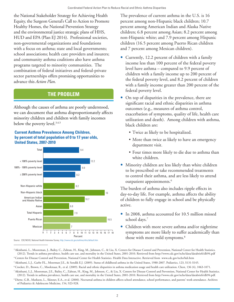the National Stakeholder Strategy for Achieving Health Equity, the Surgeon General's Call to Action to Promote Healthy Homes, the National Prevention Strategy and the environmental justice strategic plans of HHS, HUD and EPA (Plan EJ 2014). Professional societies, non-governmental organizations and foundations with a focus on asthma; state and local governments; school associations; health care providers and insurers; and community asthma coalitions also have asthma programs targeted to minority communities. The combination of federal initiatives and federal-private sector partnerships offers promising opportunities to advance this *Action Plan*.

# **THE PROBLEM**

Although the causes of asthma are poorly understood, we can document that asthma disproportionately affects minority children and children with family incomes below the poverty level.<sup>3,4,5</sup>

#### **Current Asthma Prevalence Among Children, by percent of total population of 0 to 17 year olds, United States, 2007-2010**



The prevalence of current asthma in the U.S. is 16 percent among non-Hispanic black children; 10.7 percent among American Indian and Alaska Native children; 6.8 percent among Asian; 8.2 percent among non-Hispanic white; and 7.9 percent among Hispanic children (16.5 percent among Puerto Rican children and 7 percent among Mexican children).

- Currently, 12.2 percent of children with a family income less than 100 percent of the federal poverty level have asthma – compared to 9.9 percent of children with a family income up to 200 percent of the federal poverty level, and 8.2 percent of children with a family income greater than 200 percent of the federal poverty level.
- On top of disparities in the prevalence, there are significant racial and ethnic disparities in asthma outcomes (e.g., measures of asthma control, exacerbation of symptoms, quality of life, health care utilization and death). Among children with asthma, black children are:
	- • Twice as likely to be hospitalized.
	- More than twice as likely to have an emergency department visit.
	- Four times more likely to die due to asthma than white children.
- Minority children are less likely than white children to be prescribed or take recommended treatments to control their asthma, and are less likely to attend outpatient appointments.<sup>6</sup>

The burden of asthma also includes ripple effects in day-to-day life. For example, asthma affects the ability of children to fully engage in school and be physically active.

- In 2008, asthma accounted for 10.5 million missed school days.<sup>7</sup>
- Children with more severe asthma and/or nighttime symptoms are more likely to suffer academically than those with more mild symptoms.<sup>8</sup>

<sup>3</sup> Akinbami, L., Mooreman, J., Bailey, C., Zahran, H., King, M., Johnson, C., & Liu, X. Centers for Disease Control and Prevention, National Center for Health Statistics. (2012). Trends in asthma prevalence, health care use, and mortality in the United States, 2001-2010. Retrieved from http://www.cdc.gov/nchs/data/databriefs/db94.pdf 4 Centers for Disease Control and Prevention, National Center for Health Statistics. Health Data Interactive. Retrieved from www.cdc.gov/nchs/hdi.htm 5 Akinbami, L.J., Garbe P.L., Moorman J.E., & Sondik E.J. (2009). Status of childhood asthma in the United States, 1980-2007. Pediatrics, 123, S131-S145.

6 Crocker, D., Brown, C., Moolenaar, R., et al. (2009). Racial and ethnic disparities in asthma medication usage and health care utilization. Chest, 136 (4), 1063-1071.

7 Akinbami, L.J., Mooreman, J.E., Bailey, C., Zahran, H., King, M., Johnson, C., & Liu, X. Centers for Disease Control and Prevention, National Center for Health Statistics. (2012). Trends in asthma prevalence, health care use, and mortality in the United States, 2001-2010. Retrieved from http://www.cdc.gov/nchs/data/databriefs/db94.pdf.

8 Diette, G.B., Markson, L., Skinner, E.A., et al. (2000). Nocturnal asthma in children affects school attendance, school performance, and parents' work attendance. Archives of Pediatrics & Adolescent Medicine, 154, 923-928.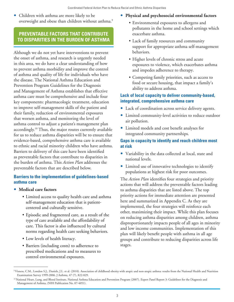• Children with asthma are more likely to be overweight and obese than children without asthma.<sup>9</sup>

# **PREVENTABLE FACTORS THAT CONTRIBUTE TO DISPARITIES IN THE BURDEN OF ASTHMA**

Although we do not yet have interventions to prevent the onset of asthma, and research is urgently needed in this area, we do have a clear understanding of how to prevent asthma morbidity and improve the control of asthma and quality of life for individuals who have the disease. The National Asthma Education and Prevention Program Guidelines for the Diagnosis and Management of Asthma establishes that effective asthma care must be comprehensive and include four key components: pharmacologic treatment, education to improve self-management skills of the patient and their family, reduction of environmental exposures that worsen asthma, and monitoring the level of asthma control to adjust a patient's management plan accordingly.10 Thus, the major routes currently available for us to reduce asthma disparities will be to ensure that evidence-based, comprehensive asthma care is available to ethnic and racial minority children who have asthma. Barriers to delivery of this care have been identified as preventable factors that contribute to disparities in the burden of asthma. This *Action Plan* addresses the preventable factors that are described below.

#### **Barriers to the implementation of guidelines-based asthma care**

- **Medical care factors** 
	- Limited access to quality health care and asthma self-management education that is patientcentered and culturally sensitive.
	- • Episodic and fragmented care, as a result of the type of care available and the affordability of care. This factor is also influenced by cultural norms regarding health care seeking behaviors.
	- Low levels of health literacy.
	- Barriers (including costs) to adherence to prescribed medications and to measures to control environmental exposures.
- **Physical and psychosocial environmental factors** 
	- • Environmental exposures to allergens and pollutants in the home and school settings which exacerbate asthma.
	- • Lack of family resources and community support for appropriate asthma self-management behaviors.
	- • Higher levels of chronic stress and acute exposures to violence, which exacerbates asthma and impedes adherence to therapy.
	- • Competing family priorities, such as access to food or secure housing, that impact a family's ability to address asthma.

#### **Lack of local capacity to deliver community-based, integrated, comprehensive asthma care**

- Lack of coordination across service delivery agents.
- Limited community-level activities to reduce outdoor air pollution.
- y Limited models and cost benefit analyses for integrated community partnerships.

#### **Gaps in capacity to identify and reach children most at risk**

- Variability in the data collected at local, state and national levels.
- Limited use of innovative technologies to identify populations at highest risk for poor outcomes.

The *Action Plan* identifies four strategies and priority actions that will address the preventable factors leading to asthma disparities that are listed above. The top priority actions for immediate attention are presented here and summarized in Appendix C. As they are implemented, the four strategies will reinforce each other, maximizing their impact. While this plan focuses on reducing asthma disparities among children, asthma disproportionately impacts people of all ages in minority and low income communities. Implementation of this plan will likely benefit people with asthma in all age groups and contribute to reducing disparities across life stages.

<sup>9</sup> Visness, C.M., London S.J., Daniels, J.L. et al. (2010). Association of childhood obesity with atopic and non-atopic asthma: results from the National Health and Nutrition Examination Survey 1999-2006. J Asthma, 47 (7), 822-829.

<sup>&</sup>lt;sup>10</sup> National Heart, Lung, and Blood Institute, National Asthma Education and Prevention Program (2007). Expert Panel Report 3: Guidelines for the Diagnosis and Management of Asthma, (NIH Publication No. 07-4051).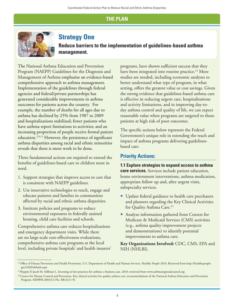# **THE PLAN**



# **Strategy One**

**Reduce barriers to the implementation of guidelines-based asthma management.**

The National Asthma Education and Prevention Program (NAEPP) Guidelines for the Diagnosis and Management of Asthma emphasize an evidence-based comprehensive approach to asthma management. Implementation of the guidelines through federal agencies and federal/private partnerships has generated considerable improvements in asthma outcomes for patients across the country. For example, the number of deaths for all ages due to asthma has declined by 25% from 1987 to 2009 and hospitalizations stabilized; fewer patients who have asthma report limitations to activities; and an increasing proportion of people receive formal patient education.5,9,11 However, the persistence of significant asthma disparities among racial and ethnic minorities reveals that there is more work to be done.

Three fundamental actions are required to extend the benefits of guidelines-based care to children most in need.

- 1. Support strategies that improve access to care that is consistent with NAEPP guidelines.
- 2. Use innovative technologies to reach, engage and educate patients and families in communities affected by racial and ethnic asthma disparities.
- 3. Institute policies and programs to reduce environmental exposures in federally assisted housing, child care facilities and schools.

Comprehensive asthma care reduces hospitalizations and emergency department visits. While there are no large-scale cost-effectiveness evaluations, comprehensive asthma care programs at the local level, including private hospitals' and health insurers'

programs, have shown sufficient success that they have been integrated into routine practice.<sup>12</sup> More studies are needed, including economic analyses to better understand what type of program, in what setting, offers the greatest value or cost savings. Given the strong evidence that guidelines-based asthma care is effective in reducing urgent care, hospitalizations and activity limitations, and in improving day-today asthma control and quality of life, we can expect reasonable value when programs are targeted to those patients at high risk of poor outcomes.

The specific actions below represent the Federal Government's unique role in extending the reach and impact of asthma programs delivering guidelinesbased care.

#### **Priority Actions:**

**1.1 Explore strategies to expand access to asthma care services.** Services include patient education, home environment interventions, asthma medication, appropriate follow up and, after urgent visits, subspecialty services.

- Update federal guidance to health care purchasers and planners regarding the Key Clinical Activities for Quality Asthma Care.<sup>13</sup>
- Analyze information gathered from Centers for Medicare & Medicaid Services (CMS) activities (e.g., asthma quality improvement projects and demonstrations) to identify potential improvements to asthma care.

**Key Organizations Involved:** CDC, CMS, EPA and NIH (NHLBI).

<sup>&</sup>lt;sup>11</sup> Office of Disease Prevention and Health Promotion, U.S. Department of Health and Human Services. Healthy People 2010. Retrieved from http://healthypeople. gov/2020/default.aspx

<sup>&</sup>lt;sup>12</sup> Hoppin P, Jacob M, Stillman L. Investing in best practices for asthma: a business case. 2010; retrieved from www.asthmaregionalcouncil.org

<sup>&</sup>lt;sup>13</sup> Centers for Disease Control and Prevention. Key clinical activities for quality asthma care: recommendations of the National Asthma Education and Prevention Program. MMWR 2003;52 (No. RR-6):[1-9].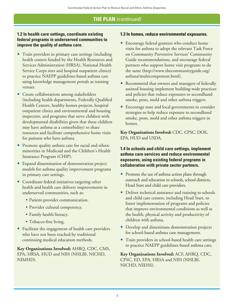#### **1.2 In health care settings, coordinate existing federal programs in underserved communities to improve the quality of asthma care.**

- Train providers in primary care settings (including health centers funded by the Health Resources and Services Administration (HRSA), National Health Service Corps sites and hospital outpatient clinics) to practice NAEPP guidelines-based asthma care using knowledge management portals as training venues.
- Create collaborations among stakeholders (including health departments, Federally Qualified Health Centers, healthy homes projects, hospital outpatient clinics and environmental and housing inspectors, and programs that serve children with developmental disabilities given that these children may have asthma as a comorbidity) to share resources and facilitate comprehensive home visits for patients who have asthma.
- Promote quality asthma care for racial and ethnic minorities in Medicaid and the Children's Health Insurance Program (CHIP).
- Expand dissemination of demonstration project models for asthma quality improvement programs in primary care settings.
- Coordinate federal initiatives targeting other health and health care delivery improvements in underserved communities, such as:
	- Patient-provider communication.
	- Provider cultural competency.
	- Family health literacy.
	- Tobacco-free living.
- Facilitate the engagement of health care providers who have not been reached by traditional continuing medical education methods.

**Key Organizations Involved:** AHRQ, CDC, CMS, EPA, HRSA, HUD and NIH (NHLBI, NICHD, NIMHD).

#### **1.3 In homes, reduce environmental exposures.**

- Encourage federal grantees who conduct home visits for asthma to adopt the relevant Task Force on Community Preventive Services' Community Guide recommendations, and encourage federal partners who support home visit programs to do the same (http://www.thecommunityguide.org/ asthma/multicomponent.html).
- Recommend that owners and managers of federally assisted housing implement building-wide practices and policies that reduce exposures to secondhand smoke, pests, mold and other asthma triggers.
- Encourage state and local governments to consider strategies to help reduce exposure to secondhand smoke, pests, mold and other asthma triggers in homes.

**Key Organizations Involved:** CDC, CPSC, DOE, EPA, HUD and USDA.

#### **1.4 In schools and child care settings, implement asthma care services and reduce environmental exposures, using existing federal programs in collaboration with private sector partners.**

- Promote the use of asthma action plans through outreach and education to schools, school districts, Head Start and child care providers.
- Deliver technical assistance and training to schools and child care centers, including Head Start, to foster implementation of programs and policies that improve environmental conditions as well as the health, physical activity and productivity of children with asthma.
- Develop and disseminate demonstration projects for school-based asthma case management.
- Train providers in school-based health care settings to practice NAEPP guidelines-based asthma care.

**Key Organizations Involved:** ACF, AHRQ, CDC, CPSC, ED, EPA, HRSA and NIH (NHLBI, NICHD, NIEHS).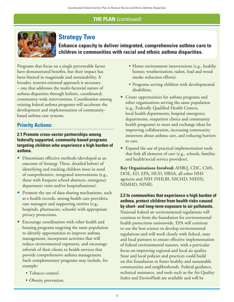

# **Strategy Two**

**Enhance capacity to deliver integrated, comprehensive asthma care to children in communities with racial and ethnic asthma disparities.**

Programs that focus on a single preventable factor have demonstrated benefits, but their impact has been limited in magnitude and sustainability. A broader, systems-oriented approach is necessary – one that addresses the multi-factorial nature of asthma disparities through holistic, coordinated, community-wide interventions. Coordination among existing federal asthma programs will accelerate the development and implementation of communitybased asthma care systems.

# **Priority Actions:**

**2.1 Promote cross-sector partnerships among federally supported, community-based programs targeting children who experience a high burden of asthma.**

- Disseminate effective methods (developed as an outcome of Strategy Three, detailed below) of identifying and tracking children most in need of comprehensive, integrated interventions (e.g., those with frequent school absences, emergency department visits and/or hospitalizations).
- Promote the use of data-sharing mechanisms, such as e-health records, among health care providers, case managers and supporting entities (e.g., hospitals, pharmacies, schools) with appropriate privacy protections.
- Encourage coordination with other health and housing programs targeting the same population to identify opportunities to improve asthma management, incorporate activities that will reduce environmental exposures, and encourage referrals of their clients to health services that provide comprehensive asthma management. Such complementary programs may include, for example:
	- Tobacco control.
	- Obesity prevention.
- Home environment interventions (e.g., healthy homes; weatherization; radon, lead and wood smoke reduction efforts).
- Programs serving children with developmental disabilities.
- Create opportunities for asthma programs and other organizations serving the same population (e.g., Federally Qualified Health Centers, local health departments, hospital emergency departments, outpatient clinics and community health programs) to meet and exchange ideas for improving collaboration, increasing community awareness about asthma care, and reducing barriers to care.
- Expand the use of practical implementation tools that link all elements of care (e.g., schools, families and health/social service providers).

**Key Organizations Involved:** AHRQ, CDC, CMS, DOE, ED, EPA, HUD, HRSA, all other HHS agencies and NIH (NHLBI, NICHD, NIEHS, NIMHD, NINR).

**2.2 In communities that experience a high burden of asthma, protect children from health risks caused by short- and long-term exposure to air pollutants.** National federal air environmental regulations will continue to form the foundation for environmental health protections nationwide. EPA will continue to use the best science to develop environmental regulations and will work closely with federal, state and local partners to ensure effective implementation of federal environmental statutes, with a particular focus on improving regional and local air quality. State and local policies and practices could build on this foundation to foster healthy and sustainable communities and neighborhoods. Federal guidance, technical assistance, and tools such as the Air Quality Index and EnviroFlash are available and will be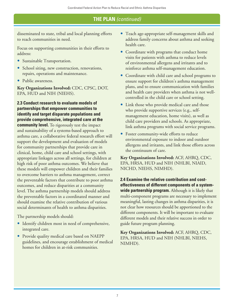disseminated to state, tribal and local planning efforts to reach communities in need.

Focus on supporting communities in their efforts to address:

- Sustainable Transportation.
- School siting, new construction, renovations, repairs, operations and maintenance.
- Public awareness.

**Key Organizations Involved:** CDC, CPSC, DOT, EPA, HUD and NIH (NIEHS).

**2.3 Conduct research to evaluate models of partnerships that empower communities to identify and target disparate populations and provide comprehensive, integrated care at the community level.** To rigorously test the impact and sustainability of a systems-based approach to asthma care, a collaborative federal research effort will support the development and evaluation of models for community partnerships that provide care in clinical, home, child care and school settings, with appropriate linkages across all settings, for children at high risk of poor asthma outcomes. We believe that these models will empower children and their families to overcome barriers to asthma management, correct the preventable factors that contribute to poor asthma outcomes, and reduce disparities at a community level. The asthma partnership models should address the preventable factors in a coordinated manner and should examine the relative contribution of various social determinants of health to asthma disparities.

The partnership models should:

- Identify children most in need of comprehensive, integrated care.
- Provide quality medical care based on NAEPP guidelines, and encourage establishment of medical homes for children in at-risk communities.
- Teach age-appropriate self-management skills and address family concerns about asthma and seeking health care.
- Coordinate with programs that conduct home visits for patients with asthma to reduce levels of environmental allergens and irritants and to reinforce asthma self-management education.
- Coordinate with child care and school programs to ensure support for children's asthma management plans, and to ensure communication with families and health care providers when asthma is not wellcontrolled in the child care or school setting.
- Link those who provide medical care and those who provide supportive services (e.g., selfmanagement education, home visits), as well as child care providers and schools. As appropriate, link asthma programs with social service programs.
- Foster community-wide efforts to reduce environmental exposure to indoor and outdoor allergens and irritants, and link those efforts across the continuum of care.

**Key Organizations Involved:** ACF, AHRQ, CDC, EPA, HRSA, HUD and NIH (NHLBI, NIAID, NICHD, NIEHS, NIMHD).

**2.4 Examine the relative contribution and costeffectiveness of different components of a systemwide partnership program.** Although it is likely that multi-component programs are necessary to implement meaningful, lasting changes in asthma disparities, it is not clear how resources should be apportioned to the different components. It will be important to evaluate different models and their relative success in order to guide future program planning.

**Key Organizations Involved:** ACF, AHRQ, CDC, EPA, HRSA, HUD and NIH (NHLBI, NIEHS, NIMHD).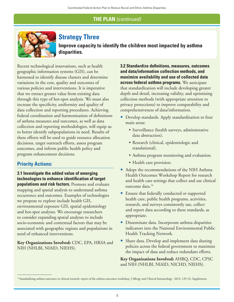

# **Strategy Three**

**Improve capacity to identify the children most impacted by asthma disparities.**

Recent technological innovations, such as health geographic information systems (GIS), can be harnessed to identify disease clusters and determine variations in the cost, quality and outcomes of various policies and interventions. It is imperative that we extract greater value from existing data through this type of hot-spot analysis. We must also increase the specificity, uniformity and quality of data collection and reporting procedures. Achieving federal coordination and harmonization of definitions of asthma measures and outcomes, as well as data collection and reporting methodologies, will equip us to better identify subpopulations in need. Results of these efforts will be used to guide resource allocation decisions, target outreach efforts, assess program outcomes, and inform public health policy and program enhancement decisions.

# **Priority Actions:**

**3.1 Investigate the added value of emerging technologies to enhance identification of target populations and risk factors.** Promote and evaluate mapping and spatial analysis to understand asthma occurrence and outcomes. Examples of technologies we propose to explore include health GIS, environmental exposure GIS, spatial epidemiology and hot-spot analyses. We encourage researchers to consider expanding spatial analyses to include socio-economic and contextual factors that may be associated with geographic regions and populations in need of enhanced interventions.

**Key Organizations Involved:** CDC, EPA, HRSA and NIH (NHLBI, NIAID, NIEHS).

**3.2 Standardize definitions, measures, outcomes and data/information collection methods, and maximize availability and use of collected data across federal asthma programs.** We anticipate that standardization will include developing greater depth and detail, increasing validity, and optimizing collection methods (with appropriate attention to privacy protections) to improve comparability and comprehensiveness of data/information.

- Develop standards. Apply standardization to four main areas:
	- • Surveillance (health surveys, administrative data abstraction).
	- Research (clinical, epidemiologic and translational).
	- Asthma program monitoring and evaluation.
	- Health care provision.
- Adopt the recommendations of the NIH Asthma Health Outcomes Workshop Report for research and health care settings that collect and use clinical outcome data.14
- Ensure that federally conducted or supported health care, public health programs, activities, research, and surveys consistently use, collect and report data according to these standards, as appropriate.
- Disseminate data. Incorporate asthma disparities indicators into the National Environmental Public Health Tracking Network.
- Share data. Develop and implement data sharing policies across the federal government to maximize the impact of data and reduce redundant efforts.

**Key Organizations Involved:** AHRQ, CDC, CPSC and NIH (NHLBI, NIAID, NICHD, NIEHS).

<sup>&</sup>lt;sup>14</sup> Standardizing asthma outcomes in clinical research: report of the asthma outcomes workshop. J Allergy and Clinical Immunology. 2012; 129 (3), Supplement.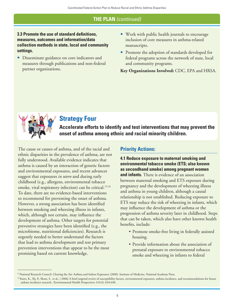**3.3 Promote the use of standard definitions, measures, outcomes and information/data collection methods in state, local and community settings.** 

- Disseminate guidance on core indicators and measures through publications and non-federal partner organizations.
- Work with public health journals to encourage inclusion of core measures in asthma-related manuscripts.
- Promote the adoption of standards developed for federal programs across the network of state, local and community programs.

**Key Organizations Involved:** CDC, EPA and HRSA.



# **Strategy Four**

**Accelerate efforts to identify and test interventions that may prevent the onset of asthma among ethnic and racial minority children.** 

The cause or causes of asthma, and of the racial and ethnic disparities in the prevalence of asthma, are not fully understood. Available evidence indicates that asthma is caused by an interaction of genetic factors and environmental exposures, and recent advances suggest that exposures *in utero* and during early childhood (e.g., allergens, environmental tobacco smoke, viral respiratory infection) can be critical.<sup>15,16</sup> To date, there are no evidence-based interventions to recommend for preventing the onset of asthma. However, a strong association has been identified between smoking and wheezing illness in infants, which, although not certain, may influence the development of asthma. Other targets for potential preventive strategies have been identified (e.g., the microbiome, nutritional deficiencies). Research is urgently needed to better understand the factors that lead to asthma development and test primary prevention interventions that appear to be the most promising based on current knowledge.

# **Priority Actions:**

**4.1 Reduce exposure to maternal smoking and environmental tobacco smoke (ETS; also known as secondhand smoke) among pregnant women and infants.** There is evidence of an association between maternal smoking and ETS exposure during pregnancy and the development of wheezing illness and asthma in young children, although a causal relationship is not established. Reducing exposure to ETS may reduce the risk of wheezing in infants, which may influence the development of asthma or the progression of asthma severity later in childhood. Steps that can be taken, which also have other known health benefits, include:

- Promote smoke-free living in federally assisted housing.
- • Provide information about the association of prenatal exposure to environmental tobacco smoke and wheezing in infants to federal

<sup>&</sup>lt;sup>15</sup> National Research Council. Clearing the Air: Asthma and Indoor Exposures (2000). Institute of Medicine, National Academy Press.

<sup>&</sup>lt;sup>16</sup> Yeatts, K., Sly, P., Shore, S. et al., (2006) A brief targeted review of susceptibility factors, environmental exposures, asthma incidence, and recommendations for future asthma incidence research.. Environmental Health Perspectives 141(4): 634-640.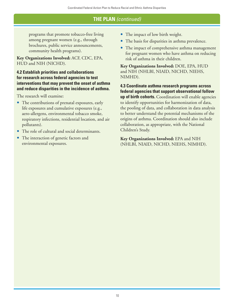programs that promote tobacco-free living among pregnant women (e.g., through brochures, public service announcements, community health programs).

**Key Organizations Involved:** ACF, CDC, EPA, HUD and NIH (NICHD).

#### **4.2 Establish priorities and collaborations for research across federal agencies to test interventions that may prevent the onset of asthma and reduce disparities in the incidence of asthma.**

The research will examine:

- The contributions of prenatal exposures, early life exposures and cumulative exposures (e.g., aero-allergens, environmental tobacco smoke, respiratory infections, residential location, and air pollutants).
- The role of cultural and social determinants.
- The interaction of genetic factors and environmental exposures.
- The impact of low birth weight.
- The basis for disparities in asthma prevalence.
- The impact of comprehensive asthma management for pregnant women who have asthma on reducing risk of asthma in their children.

**Key Organizations Involved:** DOE, EPA, HUD and NIH (NHLBI, NIAID, NICHD, NIEHS, NIMHD).

**4.3 Coordinate asthma research programs across federal agencies that support observational follow up of birth cohorts.** Coordination will enable agencies to identify opportunities for harmonization of data, the pooling of data, and collaboration in data analysis to better understand the potential mechanisms of the origins of asthma. Coordination should also include collaboration, as appropriate, with the National Children's Study.

**Key Organizations Involved:** EPA and NIH (NHLBI, NIAID, NICHD, NIEHS, NIMHD).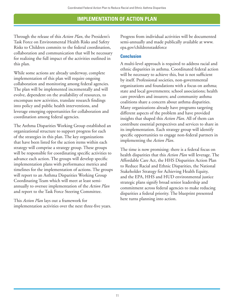### **IMPLEMENTATION OF ACTION PLAN**

Through the release of this *Action Plan*, the President's Task Force on Environmental Health Risks and Safety Risks to Children commits to the federal coordination, collaboration and communication that will be necessary for realizing the full impact of the activities outlined in this plan.

While some actions are already underway, complete implementation of this plan will require ongoing collaboration and monitoring among federal agencies. The plan will be implemented incrementally and will evolve, dependent on the availability of resources, to encompass new activities, translate research findings into policy and public health interventions, and leverage emerging opportunities for collaboration and coordination among federal agencies.

The Asthma Disparities Working Group established an organizational structure to support progress for each of the strategies in this plan. The key organizations that have been listed for the action items within each strategy will comprise a strategy group. These groups will be responsible for coordinating specific activities to advance each action. The groups will develop specific implementation plans with performance metrics and timelines for the implementation of actions. The groups will report to an Asthma Disparities Working Group Coordinating Team which will meet at least semiannually to oversee implementation of the *Action Plan* and report to the Task Force Steering Committee.

This *Action Plan* lays out a framework for implementation activities over the next three-five years.

Progress from individual activities will be documented semi-annually and made publically available at www. epa.gov/childrenstaskforce

#### **Conclusion**

A multi-level approach is required to address racial and ethnic disparities in asthma. Coordinated federal action will be necessary to achieve this, but is not sufficient by itself. Professional societies, non-governmental organizations and foundations with a focus on asthma; state and local governments; school associations; health care providers and insurers; and community asthma coalitions share a concern about asthma disparities. Many organizations already have programs targeting different aspects of the problem and have provided insights that shaped this *Action Plan*. All of them can contribute essential perspectives and services to share in its implementation. Each strategy group will identify specific opportunities to engage non-federal partners in implementing the *Action Plan*.

The time is now promising: there is a federal focus on health disparities that this *Action Plan* will leverage. The Affordable Care Act, the HHS Disparities Action Plan to Reduce Racial and Ethnic Disparities, the National Stakeholder Strategy for Achieving Health Equity, and the EPA, HHS and HUD environmental justice strategic plans signify broad senior leadership and commitment across federal agencies to make reducing disparities a federal priority. The blueprint presented here turns planning into action.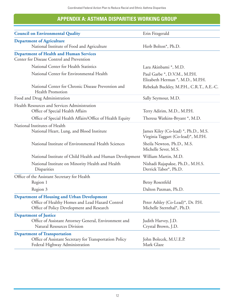# **APPENDIX A: ASTHMA DISPARITIES WORKING GROUP**

| <b>Council on Environmental Quality</b>                                                                                                            | Erin Fitzgerald                                                             |
|----------------------------------------------------------------------------------------------------------------------------------------------------|-----------------------------------------------------------------------------|
| <b>Department of Agriculture</b><br>National Institute of Food and Agriculture                                                                     | Herb Bolton*, Ph.D.                                                         |
| <b>Department of Health and Human Services</b><br>Center for Disease Control and Prevention                                                        |                                                                             |
| National Center for Health Statistics                                                                                                              | Lara Akinbami *, M.D.                                                       |
| National Center for Environmental Health                                                                                                           | Paul Garbe *, D.V.M., M.P.H.<br>Elizabeth Herman *, M.D., M.P.H.            |
| National Center for Chronic Disease Prevention and<br><b>Health Promotion</b>                                                                      | Rebekah Buckley, M.P.H., C.R.T., A.E.-C.                                    |
| Food and Drug Administration                                                                                                                       | Sally Seymour, M.D.                                                         |
| Health Resources and Services Administration<br>Office of Special Health Affairs                                                                   | Terry Adirim, M.D., M.P.H.                                                  |
| Office of Special Health Affairs/Office of Health Equity                                                                                           | Theresa Watkins-Bryant *, M.D.                                              |
| National Institutes of Health<br>National Heart, Lung, and Blood Institute                                                                         | James Kiley (Co-lead) *, Ph.D., M.S.<br>Virginia Taggart (Co-lead)*, M.P.H. |
| National Institute of Environmental Health Sciences                                                                                                | Sheila Newton, Ph.D., M.S.<br>Michelle Sever, M.S.                          |
| National Institute of Child Health and Human Development William Martin, M.D.                                                                      |                                                                             |
| National Institute on Minority Health and Health<br>Disparities                                                                                    | Nishadi Rajapakse, Ph.D., M.H.S.<br>Derrick Tabor*, Ph.D.                   |
| Office of the Assistant Secretary for Health                                                                                                       |                                                                             |
| Region 1                                                                                                                                           | Betsy Rosenfeld                                                             |
| Region 3                                                                                                                                           | Dalton Paxman, Ph.D.                                                        |
| <b>Department of Housing and Urban Development</b><br>Office of Healthy Homes and Lead Hazard Control<br>Office of Policy Development and Research | Peter Ashley (Co-Lead)*, Dr. P.H.<br>Michelle Sternthal*, Ph.D.             |
| <b>Department of Justice</b>                                                                                                                       |                                                                             |
| Office of Assistant Attorney General, Environment and<br><b>Natural Resources Division</b>                                                         | Judith Harvey, J.D.<br>Crystal Brown, J.D.                                  |
| <b>Department of Transportation</b>                                                                                                                |                                                                             |
| Office of Assistant Secretary for Transportation Policy<br>Federal Highway Administration                                                          | John Bolecek, M.U.E.P.<br>Mark Glaze                                        |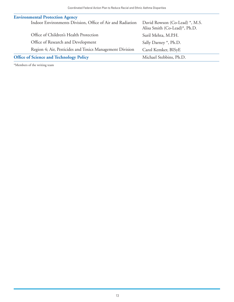| <b>Environmental Protection Agency</b>                    |                                                                 |
|-----------------------------------------------------------|-----------------------------------------------------------------|
| Indoor Environments Division, Office of Air and Radiation | David Rowson (Co-Lead) *, M.S.<br>Alisa Smith (Co-Lead)*, Ph.D. |
| Office of Children's Health Protection                    | Suril Mehta, M.P.H.                                             |
| Office of Research and Development                        | Sally Darney *, Ph.D.                                           |
| Region 4; Air, Pesticides and Toxics Management Division  | Carol Kemker, BISyE                                             |
| <b>Office of Science and Technology Policy</b>            | Michael Stebbins, Ph.D.                                         |

\*Members of the writing team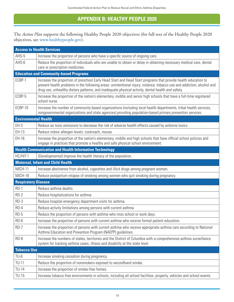# **APPENDIX B: HEALTHY PEOPLE 2020**

The *Action Plan* supports the following Healthy People 2020 objectives (for full text of the Healthy People 2020 objectives, see www.healthypeople.gov).

| <b>Access to Health Services</b>              |                                                                                                                                                                                                                                                                                                                                               |  |  |  |
|-----------------------------------------------|-----------------------------------------------------------------------------------------------------------------------------------------------------------------------------------------------------------------------------------------------------------------------------------------------------------------------------------------------|--|--|--|
| AHS-5                                         | Increase the proportion of persons who have a specific source of ongoing care.                                                                                                                                                                                                                                                                |  |  |  |
| AHS-6                                         | Reduce the proportion of individuals who are unable to obtain or delay in obtaining necessary medical care, dental<br>care or prescription medicines.                                                                                                                                                                                         |  |  |  |
| <b>Education and Community-based Programs</b> |                                                                                                                                                                                                                                                                                                                                               |  |  |  |
| ECBP-1                                        | Increase the proportion of preschool Early Head Start and Head Start programs that provide health education to<br>prevent health problems in the following areas: unintentional injury; violence; tobacco use and addiction; alcohol and<br>drug use; unhealthy dietary patterns; and inadequate physical activity, dental health and safety. |  |  |  |
| ECBP-5                                        | Increase the proportion of the nation's elementary, middle and senior high schools that have a full-time registered<br>school nurse.                                                                                                                                                                                                          |  |  |  |
| ECBP-10                                       | Increase the number of community-based organizations (including local health departments, tribal health services,<br>nongovernmental organizations and state agencies) providing population-based primary prevention services.                                                                                                                |  |  |  |
| <b>Environmental Health</b>                   |                                                                                                                                                                                                                                                                                                                                               |  |  |  |
| $EH-3$                                        | Reduce air toxic emissions to decrease the risk of adverse health effects caused by airborne toxics.                                                                                                                                                                                                                                          |  |  |  |
| EH-13                                         | Reduce indoor allergen levels: cockroach, mouse.                                                                                                                                                                                                                                                                                              |  |  |  |
| $EH-16$                                       | Increase the proportion of the nation's elementary, middle and high schools that have official school policies and<br>engage in practices that promote a healthy and safe physical school environment.                                                                                                                                        |  |  |  |
|                                               | <b>Health Communication and Health Information Technology</b>                                                                                                                                                                                                                                                                                 |  |  |  |
| HC/HIT-1                                      | (Developmental) Improve the health literacy of the population.                                                                                                                                                                                                                                                                                |  |  |  |
|                                               | <b>Maternal, Infant and Child Health</b>                                                                                                                                                                                                                                                                                                      |  |  |  |
| MICH-11                                       | Increase abstinence from alcohol, cigarettes and illicit drugs among pregnant women.                                                                                                                                                                                                                                                          |  |  |  |
| MICH-18                                       | Reduce postpartum relapse of smoking among women who quit smoking during pregnancy.                                                                                                                                                                                                                                                           |  |  |  |
| <b>Respiratory Disease</b>                    |                                                                                                                                                                                                                                                                                                                                               |  |  |  |
| $RD-1$                                        | Reduce asthma deaths.                                                                                                                                                                                                                                                                                                                         |  |  |  |
| $RD-2$                                        | Reduce hospitalizations for asthma.                                                                                                                                                                                                                                                                                                           |  |  |  |
| RD-3                                          | Reduce hospital emergency department visits for asthma.                                                                                                                                                                                                                                                                                       |  |  |  |
| RD-4                                          | Reduce activity limitations among persons with current asthma.                                                                                                                                                                                                                                                                                |  |  |  |
| RD-5                                          | Reduce the proportion of persons with asthma who miss school or work days.                                                                                                                                                                                                                                                                    |  |  |  |
| RD-6                                          | Increase the proportion of persons with current asthma who receive formal patient education.                                                                                                                                                                                                                                                  |  |  |  |
| $RD-7$                                        | Increase the proportion of persons with current asthma who receive appropriate asthma care according to National<br>Asthma Education and Prevention Program (NAEPP) guidelines.                                                                                                                                                               |  |  |  |
| RD-8                                          | Increase the numbers of states, territories and the District of Columbia with a comprehensive asthma surveillance<br>system for tracking asthma cases, illness and disability at the state level.                                                                                                                                             |  |  |  |
| <b>Tobacco Use</b>                            |                                                                                                                                                                                                                                                                                                                                               |  |  |  |
| TU-6                                          | Increase smoking cessation during pregnancy.                                                                                                                                                                                                                                                                                                  |  |  |  |
| <b>TU-11</b>                                  | Reduce the proportion of nonsmokers exposed to secondhand smoke.                                                                                                                                                                                                                                                                              |  |  |  |
| <b>TU-14</b>                                  | Increase the proportion of smoke-free homes.                                                                                                                                                                                                                                                                                                  |  |  |  |
| <b>TU-15</b>                                  | Increase tobacco-free environments in schools, including all school facilities, property, vehicles and school events.                                                                                                                                                                                                                         |  |  |  |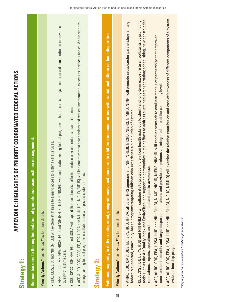APPENDIX C: HIGHLIGHTS OF PRIORITY COORDINATED FEDERAL ACTIONS **Appendix C: Highlights of priority Coordinated Federal Actions**

# **Strategy 1:**

| ֧֘֝                    |
|------------------------|
|                        |
| Í                      |
|                        |
|                        |
|                        |
| <b>Service Service</b> |
|                        |
|                        |
|                        |
|                        |
| ś                      |
|                        |
|                        |
|                        |
|                        |
|                        |
|                        |
|                        |
|                        |
|                        |
|                        |
|                        |
|                        |
|                        |
|                        |
|                        |
|                        |
|                        |
|                        |
|                        |
|                        |
|                        |
|                        |
|                        |
|                        |
|                        |
|                        |
|                        |
|                        |
|                        |

Priority Actions\* (see Action Plan for more details): **Priority Actions\*** (see *Action Plan* for more details):

- CDC, CMS, EPA and NIH (NHLBI) will explore strategies to expand access to asthma care services. • CDC, CMS, EPA and NIH (NHLBI) will explore strategies to expand access to asthma care services.
- AHRQ, CDC, CMS, EPA, HUSA, HUD and NIH (NHLB), NIMHD) will coordinate existing federal programs in health care settings in underserved communities to improve the • AHRQ, CDC, CMS, EPA, HRSA, HUD and NIH (NHLBI, NICHD, NIMHD) will coordinate existing federal programs in health care settings in underserved communities to improve the quality of asthma care. quality of asthma care.
- CDC, CPSC, DOE, EPA, HUD and USDA will expand their collaborative efforts to reduce environmental exposures in homes. • CDC, CPSC, DOE, EPA, HUD and USDA will expand their collaborative efforts to reduce environmental exposures in homes.
- • ACF, AHRQ, CDC, CPSC, ED, EPA, HRSA and NIH (NHLBI, NICHD, NIEHS) will implement asthma care services and reduce environmental exposures in schools and child care settings, • ACF, AHRO, CPSC, ED, EPA, HRSA and NIH (NHLBI, NICHD, NIEHS) will implement asthma care services and reduce environmental exposures in schools and child care settings, using existing federal programs in collaboration with private sector partners. using existing federal programs in collaboration with private sector partners.

# **Strategy 2:**

**Enhance capacity to deliver integrated, comprehensive asthma care to children in communities with racial and ethnic asthma disparities.**  Enhance capacity to deliver integrated, comprehensive asthma care to children in communities with racial and ethnic asthma disparities.

# Priority Actions\* (see Action Plan for more details): **Priority Actions\*** (see *Action Plan* for more details):

- AHRQ, CDC, CMS, DOE, ED, EPA, HUD, HRSA, all other HHS agencies and NIH (NHLBI, NICHD, NIEHS, NIMHD, NINR) will promote cross-sector partnerships among • AHRQ, CDC, CMS, DOE, ED, EPA, HUD, HRSA, all other HHS agencies and NIH (NHLBI, NICHD, NIEHS, NIMHD, NINR) will promote cross-sector partnerships among federally supported, community-based programs targeting children who experience a high burden of asthma. federally supported, community-based programs targeting children who experience a high burden of asthma.
- tools such as the Air Quality Index and EnviroFlash, and supporting communities in their efforts to address sustainable transportation; school siting, new construction, tools such as the Air Quality Index and EnviroFlash, and supporting communities in their efforts to address sustainable transportation; school siting, new construction, • CDC, CPSC, DOT, EPA, HUD and NIH (NIEHS) will collaborate to protect children from health risks due to short- and long-term exposure to air pollutants by promoting CDC, CPSC, DOT, EPA, HUD and NIH (NIEHS) will collaborate to protect children from health risks due to short- and long-term exposure to air pollutants by promoting renovations, repairs, operations and maintenance; and public awareness. renovations, repairs, operations and maintenance; and public awareness.
- • ACF, AHRQ, CDC, EPA, HRSA, HUD and NIH (NHLBI, NIAID, NICHD, NIEHS, NIMHD) will conduct research to evaluate models of partnerships that empower ACF, AHRQ, CDC, EPA, HRSA, HUD and NIH (NHLBI, NIAID, NICHD, NIEHS, NIMHD) will conduct research to evaluate models of partnerships that empower communities to identify and target disparate populations and provide comprehensive, integrated care at the community level. communities to identify and target disparate populations and provide comprehensive, integrated care at the community level.
- ACF, AHRO, CDC, EPA, HUD and NIH (NHLBI, NIEHS, NIMHD) will examine the relative contribution and cost-effectiveness of different components of a system-• ACF, AHRQ, CDC, EPA, HRSA, HUD and NIH (NHLBI, NIEHS, NIMHD) will examine the relative contribution and cost-effectiveness of different components of a systemwide partnership program. wide partnership program.

\* Key organizations involved are listed in alphbetical order. *\* Key organizations involved are listed in alphbetical order.*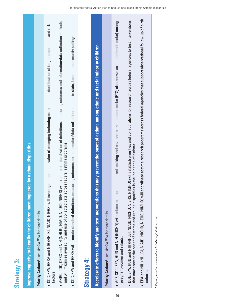Improve capacity to identify the children most impacted by asthma disparities. **Improve capacity to identify the children most impacted by asthma disparities.**

Priority Actions\* (see Action Plan for more details): **Priority Actions\*** (see *Action Plan* for more details):

- • CDC, EPA, HRSA and NIH (NHLBI, NIAID, NIEHS) will investigate the added value of emerging technologies to enhance identification of target populations and risk • CDC, EPA, HRSA and NIH (NHLBI, NIEHS) will investigate the added value of emerging technologies to enhance identification of target populations and risk factors.
- • AHRQ, CDC, CPSC and NIH (NHLBI, NIAID, NICHD, NIEHS) will promote standardization of definitions, measures, outcomes and information/data collection methods, • AHRO, CPSC and NIH (NHLBI, NICHD, NIEHS) will promote standardization of definitions, measures, outcomes and information/data collection methods, and will maximize availability and use of collected data across federal asthma programs and will maximize availability and use of collected data across federal asthma programs.
- • CDC, EPA and HRSA will promote standard definitions, measures, outcomes and information/data collection methods in state, local and community settings. • CDC, EPA and HRSA will promote standard definitions, measures, outcomes and information/data collection methods in state, local and community settings

# **Strategy 4:**

**Accelerate efforts to identify and test interventions that may prevent the onset of asthma among ethnic and racial minority children.**  Accelerate efforts to identify and test interventions that may prevent the onset of asthma among ethnic and racial minority children.

Priority Actions\* (see Action Plan for more details): **Priority Actions\*** (see *Action Plan* for more details):

- $\bullet$  ACF, CDC, EPA, HUD and NIH (NICHD) will reduce exposure to maternal smoking and environmental tobacco smoke (ETS; also known as secondhand smoke) among  $\bullet$  ACF, CDC, EPA, HUD and NIH (NICHD) will reduce exposure to maternal smoking and environmental tobacco smoke (ETS; also known as secondhand smoke) among pregnant women and infants. pregnant women and infants.
- • DOE, EPA, HUD and NIH (NHLBI, NIAID, NICHD, NIEHS, NIMHD) will establish priorities and collaborations for research across federal agencies to test interventions DOE, EPA, HUD and NIHLBI, NIAID, NICHD, NIEHS, NIMHD) will establish priorities and collaborations for research across federal agencies to test interventions that may prevent the onset of asthma and reduce disparities in the incidence of asthma. that may prevent the onset of asthma and reduce disparities in the incidence of asthma.
- $\bullet$  EPA and NIHLBI, NICHD, NIEHS, NIMHD) will coordinate asthma research programs across federal agencies that support observational follow-up of birth EPA and NIH (NHLBI, NICHD, NIEHS, NIMHD) will coordinate asthma research programs across federal agencies that support observational follow-up of birth cohorts.

**\***  *Key organizations involved are listed in alphabetical order.*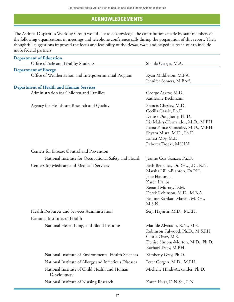Coordinated Federal Action Plan to Reduce Racial and Ethnic Asthma Disparities

# **ACKNOWLEDGEMENTS**

The Asthma Disparities Working Group would like to acknowledge the contributions made by staff members of the following organizations in meetings and telephone conference calls during the preparation of this report. Their thoughtful suggestions improved the focus and feasibility of the *Action Plan*, and helped us reach out to include more federal partners.

| <b>Department of Education</b>                                                        |                                                                                                                                                                                                                                 |
|---------------------------------------------------------------------------------------|---------------------------------------------------------------------------------------------------------------------------------------------------------------------------------------------------------------------------------|
| Office of Safe and Healthy Students                                                   | Shahla Ortega, M.A.                                                                                                                                                                                                             |
| <b>Department of Energy</b><br>Office of Weatherization and Intergovernmental Program | Ryan Middleton, M.P.A.<br>Jennifer Somers, M.P.Aff.                                                                                                                                                                             |
| <b>Department of Health and Human Services</b>                                        |                                                                                                                                                                                                                                 |
| Administration for Children and Families                                              | George Askew, M.D.<br>Katherine Beckmann                                                                                                                                                                                        |
| Agency for Healthcare Research and Quality                                            | Francis Chesley, M.D.<br>Cecilia Casale, Ph.D.<br>Denise Dougherty, Ph.D.<br>Iris Mabry-Hernandez, M.D., M.P.H.<br>Iliana Ponce-Gonzolez, M.D., M.P.H.<br>Shyam Misra, M.D., Ph.D.<br>Ernest Moy, M.D.<br>Rebecca Trocki, MSHAI |
| Centers for Disease Control and Prevention                                            |                                                                                                                                                                                                                                 |
| National Institute for Occupational Safety and Health                                 | Jeanne Cox Ganzer, Ph.D.                                                                                                                                                                                                        |
| Centers for Medicare and Medicaid Services                                            | Beth Benedict, Dr.P.H., J.D., R.N.<br>Marsha Lillie-Blanton, Dr.P.H.<br>Jane Hammen<br>Karen Llanos<br>Renard Murray, D.M.<br>Derek Robinson, M.D., M.B.A.<br>Pauline Karikari-Martin, M.P.H.,<br>M.S.N.                        |
| Health Resources and Services Administration                                          | Seiji Hayashi, M.D., M.P.H.                                                                                                                                                                                                     |
| National Institutes of Health                                                         |                                                                                                                                                                                                                                 |
| National Heart, Lung, and Blood Institute                                             | Matilde Alvarado, R.N., M.S.<br>Robinson Fulwood, Ph.D., M.S.P.H.<br>Gloria Ortiz, M.S.<br>Denise Simons-Morton, M.D., Ph.D.<br>Rachael Tracy, M.P.H.                                                                           |
| National Institute of Environmental Health Sciences                                   | Kimberly Gray, Ph.D.                                                                                                                                                                                                            |
| National Institute of Allergy and Infectious Diseases                                 | Peter Gergen, M.D., M.P.H.                                                                                                                                                                                                      |
| National Institute of Child Health and Human<br>Development                           | Michelle Hindi-Alexander, Ph.D.                                                                                                                                                                                                 |
| National Institute of Nursing Research                                                | Karen Huss, D.N.Sc., R.N.                                                                                                                                                                                                       |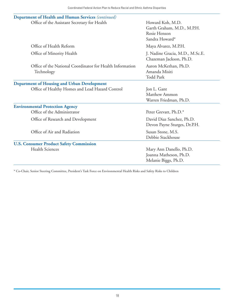| <b>Department of Health and Human Services</b> (continued)              |                                                                                  |
|-------------------------------------------------------------------------|----------------------------------------------------------------------------------|
| Office of the Assistant Secretary for Health                            | Howard Koh, M.D.<br>Garth Graham, M.D., M.P.H.<br>Rosie Henson<br>Sandra Howard* |
| Office of Health Reform                                                 | Maya Alvarez, M.P.H.                                                             |
| Office of Minority Health                                               | J. Nadine Gracia, M.D., M.Sc.E.<br>Chazeman Jackson, Ph.D.                       |
| Office of the National Coordinator for Health Information<br>Technology | Aaron McKethan, Ph.D.<br>Amanda Misiti<br>Todd Park                              |
| <b>Department of Housing and Urban Development</b>                      |                                                                                  |
| Office of Healthy Homes and Lead Hazard Control                         | Jon L. Gant<br>Matthew Ammon<br>Warren Friedman, Ph.D.                           |
| <b>Environmental Protection Agency</b>                                  |                                                                                  |
| Office of the Administrator                                             | Peter Grevatt, Ph.D.*                                                            |
| Office of Research and Development                                      | David Diaz Sanchez, Ph.D.<br>Devon Payne Sturges, Dr.P.H.                        |
| Office of Air and Radiation                                             | Susan Stone, M.S.<br>Debbie Stackhouse                                           |
| <b>U.S. Consumer Product Safety Commission</b>                          |                                                                                  |
| <b>Health Sciences</b>                                                  | Mary Ann Danello, Ph.D.<br>Joanna Matheson, Ph.D.<br>Melanie Biggs, Ph.D.        |

\* Co-Chair, Senior Steering Committee, President's Task Force on Environmental Health Risks and Safety Risks to Children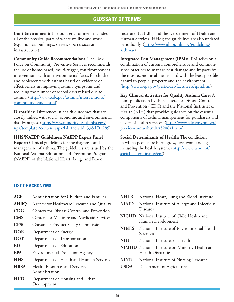# **GLOSSARY OF TERMS**

**Built Environment:** The built environment includes all of the physical parts of where we live and work (e.g., homes, buildings, streets, open spaces and infrastructure).

**Community Guide Recommendations**: The Task Force on Community Preventive Services recommends the use of home-based, multi-trigger, multicomponent interventions with an environmental focus for children and adolescents with asthma based on evidence of effectiveness in improving asthma symptoms and reducing the number of school days missed due to asthma.[\(http://www.cdc.gov/asthma/interventions/](http://www.cdc.gov/asthma/interventions/community_guide.html) community guide.html)

**Disparities**: Differences in health outcomes that are closely linked with social, economic and environmental disadvantages. ([http://www.minorityhealth.hhs.gov/](http://www.minorityhealth.hhs.gov/npa/templates/content.aspx?lvl=1&lvlid=33&ID=285) [npa/templates/content.aspx?lvl=1&lvlid=33&ID=285\)](http://www.minorityhealth.hhs.gov/npa/templates/content.aspx?lvl=1&lvlid=33&ID=285)

**HHS/NAEPP Guidelines: NAEPP Expert Panel** 

**Report:** Clinical guidelines for the diagnosis and management of asthma. The guidelines are issued by the National Asthma Education and Prevention Program (NAEPP) of the National Heart, Lung, and Blood

Institute (NHLBI) and the Department of Health and Human Services (HHS); the guidelines are also updated periodically. ([http://www.nhlbi.nih.gov/guidelines/](http://www.nhlbi.nih.gov/guidelines/asthma/) [asthma/\)](http://www.nhlbi.nih.gov/guidelines/asthma/)

**Integrated Pest Management (IPM):** IPM relies on a combination of current, comprehensive and commonsense practices to manage pest damage and impacts by the most economical means, and with the least possible hazard to people, property and the environment. ([http://www.epa.gov/pesticides/factsheets/ipm.htm\)](http://www.epa.gov/pesticides/factsheets/ipm.htm)

**Key Clinical Activities for Quality Asthma Care:** A joint publication by the Centers for Disease Control and Prevention (CDC) and the National Institutes of Health (NIH) that provides guidance on the essential components of asthma management for purchasers and payers of health services. [\(http://www.cdc.gov/mmwr/](http://www.cdc.gov/mmwr/preview/mmwrhtml/rr5206a1.htm) [preview/mmwrhtml/rr5206a1.htm\)](http://www.cdc.gov/mmwr/preview/mmwrhtml/rr5206a1.htm)

**Social Determinants of Health:** The conditions in which people are born, grow, live, work and age, including the health system. [\(http://www.who.int/](http://www.who.int/social_determinants/en/) [social\\_determinants/en/](http://www.who.int/social_determinants/en/))

#### **LIST OF ACRONYMS**

**ACF** Administration for Children and Families **AHRQ** Agency for Healthcare Research and Quality **CDC** Centers for Disease Control and Prevention **CMS** Centers for Medicare and Medicaid Services **CPSC** Consumer Product Safety Commission **DOE** Department of Energy **DOT** Department of Transportation **ED** Department of Education **EPA** Environmental Protection Agency **HHS** Department of Health and Human Services **HRSA** Health Resources and Services Administration **HUD** Department of Housing and Urban Development

|              | <b>NHLBI</b> National Heart, Lung and Blood Institute                               |
|--------------|-------------------------------------------------------------------------------------|
| <b>NIAID</b> | National Institute of Allergy and Infectious<br>Diseases                            |
|              | <b>NICHD</b> National Institute of Child Health and<br>Human Development            |
|              | <b>NIEHS</b> National Institute of Environmental Health<br>Sciences                 |
| NIH          | National Institutes of Health                                                       |
|              | <b>NIMHD</b> National Institute on Minority Health and<br><b>Health Disparities</b> |
| <b>NINR</b>  | National Institute of Nursing Research                                              |
| <b>USDA</b>  | Department of Agriculture                                                           |